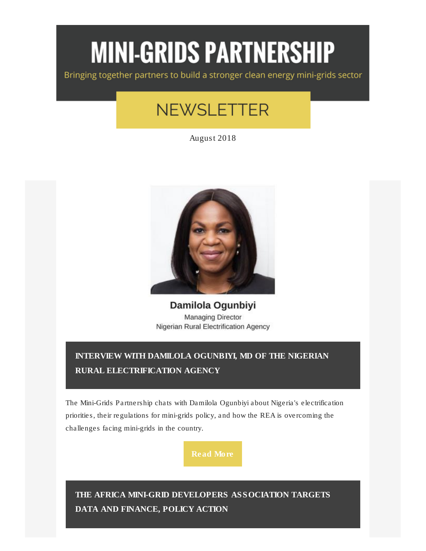# **MINI-GRIDS PARTNERSHIP**

Bringing together partners to build a stronger clean energy mini-grids sector

# **NEWSLETTER**

August 2018



Damilola Ogunbiyi **Managing Director** Nigerian Rural Electrification Agency

# INTERVIEW [WITH DAMILOLA OGUNBIYI, MD OF THE NIGERIAN](https://click.everyaction.com/k/1858335/9776304/-1771101748?nvep=ew0KICAiVGVuYW50VXJpIjogIm5ncHZhbjovL3Zhbi9VTkYvVU5GLzEvNjA4MDYiLA0KICAiRGlzdHJpYnV0aW9uVW5pcXVlSWQiOiAiNmY5MDI1MTAtZTc5Yi1lODExLWJjZTctMDAwZDNhMTJiODAwIiwNCiAgIkVtYWlsQWRkcmVzcyI6ICJLZmFybWVyQHVuZm91bmRhdGlvbi5vcmciDQp9&hmac=2WyhktQNt28-NWpF6LkFFv8QGcqZgq18bsoItE8ToOU=)  [RURAL ELECTRIFICATION AGENCY](https://click.everyaction.com/k/1858335/9776304/-1771101748?nvep=ew0KICAiVGVuYW50VXJpIjogIm5ncHZhbjovL3Zhbi9VTkYvVU5GLzEvNjA4MDYiLA0KICAiRGlzdHJpYnV0aW9uVW5pcXVlSWQiOiAiNmY5MDI1MTAtZTc5Yi1lODExLWJjZTctMDAwZDNhMTJiODAwIiwNCiAgIkVtYWlsQWRkcmVzcyI6ICJLZmFybWVyQHVuZm91bmRhdGlvbi5vcmciDQp9&hmac=2WyhktQNt28-NWpF6LkFFv8QGcqZgq18bsoItE8ToOU=)

The Mini-Grids Partnership chats with Damilola Ogunbiyi about Nigeria's electrification priorities, their regulations for mini-grids policy, and how the REA is overcoming the challenges facing mini-grids in the country.

[Read More](https://click.everyaction.com/k/1858336/9776305/-1771101748?nvep=ew0KICAiVGVuYW50VXJpIjogIm5ncHZhbjovL3Zhbi9VTkYvVU5GLzEvNjA4MDYiLA0KICAiRGlzdHJpYnV0aW9uVW5pcXVlSWQiOiAiNmY5MDI1MTAtZTc5Yi1lODExLWJjZTctMDAwZDNhMTJiODAwIiwNCiAgIkVtYWlsQWRkcmVzcyI6ICJLZmFybWVyQHVuZm91bmRhdGlvbi5vcmciDQp9&hmac=2WyhktQNt28-NWpF6LkFFv8QGcqZgq18bsoItE8ToOU=)

[THE AFRICA MINI-GRID DEVELOPERS ASSOCIATION TARGETS](https://click.everyaction.com/k/1858337/9776306/-77991850?nvep=ew0KICAiVGVuYW50VXJpIjogIm5ncHZhbjovL3Zhbi9VTkYvVU5GLzEvNjA4MDYiLA0KICAiRGlzdHJpYnV0aW9uVW5pcXVlSWQiOiAiNmY5MDI1MTAtZTc5Yi1lODExLWJjZTctMDAwZDNhMTJiODAwIiwNCiAgIkVtYWlsQWRkcmVzcyI6ICJLZmFybWVyQHVuZm91bmRhdGlvbi5vcmciDQp9&hmac=2WyhktQNt28-NWpF6LkFFv8QGcqZgq18bsoItE8ToOU=)  [DATA AND FINANCE, POLICY ACTION](https://click.everyaction.com/k/1858337/9776306/-77991850?nvep=ew0KICAiVGVuYW50VXJpIjogIm5ncHZhbjovL3Zhbi9VTkYvVU5GLzEvNjA4MDYiLA0KICAiRGlzdHJpYnV0aW9uVW5pcXVlSWQiOiAiNmY5MDI1MTAtZTc5Yi1lODExLWJjZTctMDAwZDNhMTJiODAwIiwNCiAgIkVtYWlsQWRkcmVzcyI6ICJLZmFybWVyQHVuZm91bmRhdGlvbi5vcmciDQp9&hmac=2WyhktQNt28-NWpF6LkFFv8QGcqZgq18bsoItE8ToOU=)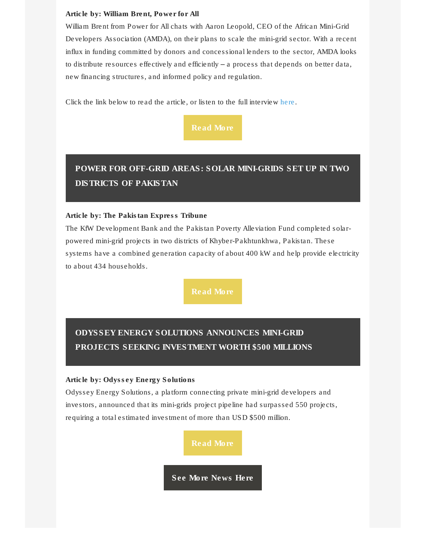#### Article by: William Brent, Power for All

William Brent from Power for All chats with Aaron Leopold, CEO of the African Mini-Grid Developers Association (AMDA), on their plans to scale the mini-grid sector. With a recent influx in funding committed by donors and concessional lenders to the sector, AMDA looks to distribute resources effectively and efficiently – a process that depends on better data, new financing structures, and informed policy and regulation.

Click the link below to read the article, or listen to the full interview [here.](https://click.everyaction.com/k/1858338/9776307/-803653937?nvep=ew0KICAiVGVuYW50VXJpIjogIm5ncHZhbjovL3Zhbi9VTkYvVU5GLzEvNjA4MDYiLA0KICAiRGlzdHJpYnV0aW9uVW5pcXVlSWQiOiAiNmY5MDI1MTAtZTc5Yi1lODExLWJjZTctMDAwZDNhMTJiODAwIiwNCiAgIkVtYWlsQWRkcmVzcyI6ICJLZmFybWVyQHVuZm91bmRhdGlvbi5vcmciDQp9&hmac=2WyhktQNt28-NWpF6LkFFv8QGcqZgq18bsoItE8ToOU=&v=6AZl4l25t88&t=8s)



# [POWER FOR OFF-GRID AREAS: SOLAR MINI-GRIDS SET UP IN TWO](https://click.everyaction.com/k/1858340/9776309/633281928?nvep=ew0KICAiVGVuYW50VXJpIjogIm5ncHZhbjovL3Zhbi9VTkYvVU5GLzEvNjA4MDYiLA0KICAiRGlzdHJpYnV0aW9uVW5pcXVlSWQiOiAiNmY5MDI1MTAtZTc5Yi1lODExLWJjZTctMDAwZDNhMTJiODAwIiwNCiAgIkVtYWlsQWRkcmVzcyI6ICJLZmFybWVyQHVuZm91bmRhdGlvbi5vcmciDQp9&hmac=2WyhktQNt28-NWpF6LkFFv8QGcqZgq18bsoItE8ToOU=)  [DISTRICTS OF PAKISTAN](https://click.everyaction.com/k/1858340/9776309/633281928?nvep=ew0KICAiVGVuYW50VXJpIjogIm5ncHZhbjovL3Zhbi9VTkYvVU5GLzEvNjA4MDYiLA0KICAiRGlzdHJpYnV0aW9uVW5pcXVlSWQiOiAiNmY5MDI1MTAtZTc5Yi1lODExLWJjZTctMDAwZDNhMTJiODAwIiwNCiAgIkVtYWlsQWRkcmVzcyI6ICJLZmFybWVyQHVuZm91bmRhdGlvbi5vcmciDQp9&hmac=2WyhktQNt28-NWpF6LkFFv8QGcqZgq18bsoItE8ToOU=)

#### Article by: The Pakistan Express Tribune

The KfW Development Bank and the Pakistan Poverty Alleviation Fund completed solarpowered mini-grid projects in two districts of Khyber-Pakhtunkhwa, Pakistan. These systems have a combined generation capacity of about 400 kW and help provide electricity to about 434 households.

# [ODYSSEY ENERGY SOLUTIONS ANNOUNCES MINI-GRID](https://click.everyaction.com/k/1858342/9776311/-1455550004?nvep=ew0KICAiVGVuYW50VXJpIjogIm5ncHZhbjovL3Zhbi9VTkYvVU5GLzEvNjA4MDYiLA0KICAiRGlzdHJpYnV0aW9uVW5pcXVlSWQiOiAiNmY5MDI1MTAtZTc5Yi1lODExLWJjZTctMDAwZDNhMTJiODAwIiwNCiAgIkVtYWlsQWRkcmVzcyI6ICJLZmFybWVyQHVuZm91bmRhdGlvbi5vcmciDQp9&hmac=2WyhktQNt28-NWpF6LkFFv8QGcqZgq18bsoItE8ToOU=)  [PROJECTS SEEKING INVESTMENT WORTH \\$500 MILLIONS](https://click.everyaction.com/k/1858342/9776311/-1455550004?nvep=ew0KICAiVGVuYW50VXJpIjogIm5ncHZhbjovL3Zhbi9VTkYvVU5GLzEvNjA4MDYiLA0KICAiRGlzdHJpYnV0aW9uVW5pcXVlSWQiOiAiNmY5MDI1MTAtZTc5Yi1lODExLWJjZTctMDAwZDNhMTJiODAwIiwNCiAgIkVtYWlsQWRkcmVzcyI6ICJLZmFybWVyQHVuZm91bmRhdGlvbi5vcmciDQp9&hmac=2WyhktQNt28-NWpF6LkFFv8QGcqZgq18bsoItE8ToOU=)

Article by: Odyssey Energy Solutions

Odyssey Energy Solutions, a platform connecting private mini-grid developers and investors, announced that its mini-grids project pipeline had surpassed 550 projects, requiring a total estimated investment of more than USD \$500 million.

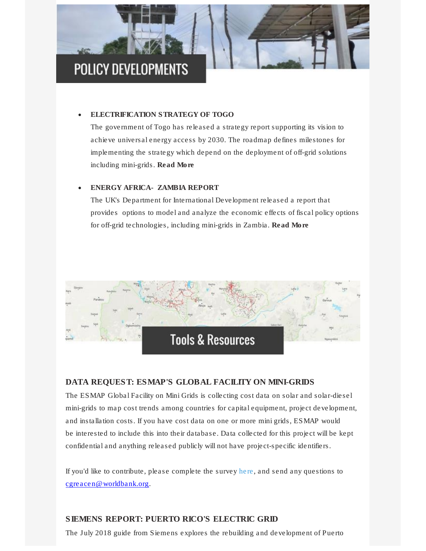

# • [ELECTRIFICATION STRATEGY OF TOGO](https://click.everyaction.com/k/1858346/9776316/1285545275?nvep=ew0KICAiVGVuYW50VXJpIjogIm5ncHZhbjovL3Zhbi9VTkYvVU5GLzEvNjA4MDYiLA0KICAiRGlzdHJpYnV0aW9uVW5pcXVlSWQiOiAiNmY5MDI1MTAtZTc5Yi1lODExLWJjZTctMDAwZDNhMTJiODAwIiwNCiAgIkVtYWlsQWRkcmVzcyI6ICJLZmFybWVyQHVuZm91bmRhdGlvbi5vcmciDQp9&hmac=2WyhktQNt28-NWpF6LkFFv8QGcqZgq18bsoItE8ToOU=)

The government of Togo has released a strategy report supporting its vision to achieve universal energy access by 2030. The roadmap defines milestones for implementing the strategy which depend on the deployment of off-grid solutions including mini-grids. [Read More](https://click.everyaction.com/k/1858347/9776317/1285545275?nvep=ew0KICAiVGVuYW50VXJpIjogIm5ncHZhbjovL3Zhbi9VTkYvVU5GLzEvNjA4MDYiLA0KICAiRGlzdHJpYnV0aW9uVW5pcXVlSWQiOiAiNmY5MDI1MTAtZTc5Yi1lODExLWJjZTctMDAwZDNhMTJiODAwIiwNCiAgIkVtYWlsQWRkcmVzcyI6ICJLZmFybWVyQHVuZm91bmRhdGlvbi5vcmciDQp9&hmac=2WyhktQNt28-NWpF6LkFFv8QGcqZgq18bsoItE8ToOU=)

#### • [ENERGY AFRICA-](https://click.everyaction.com/k/1858348/9776318/-1423576978?nvep=ew0KICAiVGVuYW50VXJpIjogIm5ncHZhbjovL3Zhbi9VTkYvVU5GLzEvNjA4MDYiLA0KICAiRGlzdHJpYnV0aW9uVW5pcXVlSWQiOiAiNmY5MDI1MTAtZTc5Yi1lODExLWJjZTctMDAwZDNhMTJiODAwIiwNCiAgIkVtYWlsQWRkcmVzcyI6ICJLZmFybWVyQHVuZm91bmRhdGlvbi5vcmciDQp9&hmac=2WyhktQNt28-NWpF6LkFFv8QGcqZgq18bsoItE8ToOU=) ZAMBIA REPORT

The UK's Department for International Development released a report that provides options to model and analyze the economic effects of fiscal policy options for off-grid technologies, including mini-grids in Zambia. [Read More](https://click.everyaction.com/k/1858349/9776319/-1423576978?nvep=ew0KICAiVGVuYW50VXJpIjogIm5ncHZhbjovL3Zhbi9VTkYvVU5GLzEvNjA4MDYiLA0KICAiRGlzdHJpYnV0aW9uVW5pcXVlSWQiOiAiNmY5MDI1MTAtZTc5Yi1lODExLWJjZTctMDAwZDNhMTJiODAwIiwNCiAgIkVtYWlsQWRkcmVzcyI6ICJLZmFybWVyQHVuZm91bmRhdGlvbi5vcmciDQp9&hmac=2WyhktQNt28-NWpF6LkFFv8QGcqZgq18bsoItE8ToOU=)



### [DATA REQUEST: ESMAP'S GLOBAL FACILITY ON MINI-GRIDS](https://click.everyaction.com/k/1858350/9776320/1689062940?nvep=ew0KICAiVGVuYW50VXJpIjogIm5ncHZhbjovL3Zhbi9VTkYvVU5GLzEvNjA4MDYiLA0KICAiRGlzdHJpYnV0aW9uVW5pcXVlSWQiOiAiNmY5MDI1MTAtZTc5Yi1lODExLWJjZTctMDAwZDNhMTJiODAwIiwNCiAgIkVtYWlsQWRkcmVzcyI6ICJLZmFybWVyQHVuZm91bmRhdGlvbi5vcmciDQp9&hmac=2WyhktQNt28-NWpF6LkFFv8QGcqZgq18bsoItE8ToOU=)

The ESMAP Global Facility on Mini Grids is collecting cost data on solar and solar-diesel mini-grids to map cost trends among countries for capital equipment, project development, and installation costs. If you have cost data on one or more mini grids, ESMAP would be interested to include this into their database. Data collected for this project will be kept confidential and anything released publicly will not have project-specific identifiers.

If you'd like to contribute, please complete the survey [here,](https://click.everyaction.com/k/1858351/9776321/1317061841?nvep=ew0KICAiVGVuYW50VXJpIjogIm5ncHZhbjovL3Zhbi9VTkYvVU5GLzEvNjA4MDYiLA0KICAiRGlzdHJpYnV0aW9uVW5pcXVlSWQiOiAiNmY5MDI1MTAtZTc5Yi1lODExLWJjZTctMDAwZDNhMTJiODAwIiwNCiAgIkVtYWlsQWRkcmVzcyI6ICJLZmFybWVyQHVuZm91bmRhdGlvbi5vcmciDQp9&hmac=2WyhktQNt28-NWpF6LkFFv8QGcqZgq18bsoItE8ToOU=) and send any questions to [cgreacen@worldbank.org.](mailto:cgreacen@worldbank.org)

## [SIEMENS REPORT: PUERTO RICO'S ELECTRIC GRID](https://click.everyaction.com/k/1858352/9776322/-1617300351?nvep=ew0KICAiVGVuYW50VXJpIjogIm5ncHZhbjovL3Zhbi9VTkYvVU5GLzEvNjA4MDYiLA0KICAiRGlzdHJpYnV0aW9uVW5pcXVlSWQiOiAiNmY5MDI1MTAtZTc5Yi1lODExLWJjZTctMDAwZDNhMTJiODAwIiwNCiAgIkVtYWlsQWRkcmVzcyI6ICJLZmFybWVyQHVuZm91bmRhdGlvbi5vcmciDQp9&hmac=2WyhktQNt28-NWpF6LkFFv8QGcqZgq18bsoItE8ToOU=)

The July 2018 guide from Siemens explores the rebuilding and development of Puerto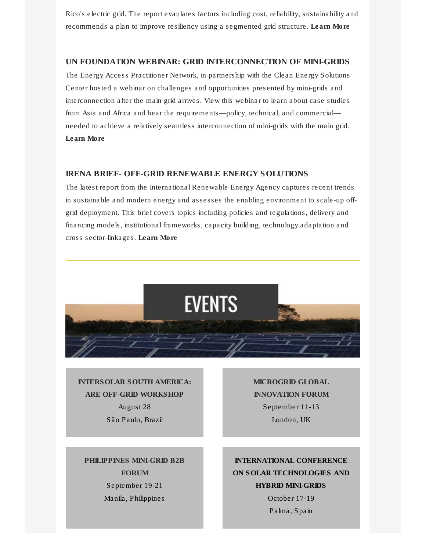Rico's electric grid. The report evaulates factors including cost, reliability, sustainability and recommends a plan to improve resiliency using a segmented grid structure. [Learn More](https://click.everyaction.com/k/1858353/9776323/-1617300351?nvep=ew0KICAiVGVuYW50VXJpIjogIm5ncHZhbjovL3Zhbi9VTkYvVU5GLzEvNjA4MDYiLA0KICAiRGlzdHJpYnV0aW9uVW5pcXVlSWQiOiAiNmY5MDI1MTAtZTc5Yi1lODExLWJjZTctMDAwZDNhMTJiODAwIiwNCiAgIkVtYWlsQWRkcmVzcyI6ICJLZmFybWVyQHVuZm91bmRhdGlvbi5vcmciDQp9&hmac=2WyhktQNt28-NWpF6LkFFv8QGcqZgq18bsoItE8ToOU=)

#### [UN FOUNDATION WEBINAR: GRID INTERCONNECTION OF MINI-GRIDS](https://click.everyaction.com/k/1858354/9776324/-803653937?nvep=ew0KICAiVGVuYW50VXJpIjogIm5ncHZhbjovL3Zhbi9VTkYvVU5GLzEvNjA4MDYiLA0KICAiRGlzdHJpYnV0aW9uVW5pcXVlSWQiOiAiNmY5MDI1MTAtZTc5Yi1lODExLWJjZTctMDAwZDNhMTJiODAwIiwNCiAgIkVtYWlsQWRkcmVzcyI6ICJLZmFybWVyQHVuZm91bmRhdGlvbi5vcmciDQp9&hmac=2WyhktQNt28-NWpF6LkFFv8QGcqZgq18bsoItE8ToOU=&v=ZRKQg58ZO58)

The Energy Access Practitioner Network, in partnership with the Clean Energy Solutions Center hosted a webinar on challenges and opportunities presented by mini-grids and interconnection after the main grid arrives. View this webinar to learn about case studies from Asia and Africa and hear the requirements—policy, technical, and commercial needed to achieve a relatively seamless interconnection of mini-grids with the main grid. [Learn More](https://click.everyaction.com/k/1858355/9776325/-803653937?nvep=ew0KICAiVGVuYW50VXJpIjogIm5ncHZhbjovL3Zhbi9VTkYvVU5GLzEvNjA4MDYiLA0KICAiRGlzdHJpYnV0aW9uVW5pcXVlSWQiOiAiNmY5MDI1MTAtZTc5Yi1lODExLWJjZTctMDAwZDNhMTJiODAwIiwNCiAgIkVtYWlsQWRkcmVzcyI6ICJLZmFybWVyQHVuZm91bmRhdGlvbi5vcmciDQp9&hmac=2WyhktQNt28-NWpF6LkFFv8QGcqZgq18bsoItE8ToOU=&v=ZRKQg58ZO58)

### IRENA BRIEF- [OFF-GRID RENEWABLE ENERGY SOLUTIONS](https://click.everyaction.com/k/1858356/9776326/1478279228?nvep=ew0KICAiVGVuYW50VXJpIjogIm5ncHZhbjovL3Zhbi9VTkYvVU5GLzEvNjA4MDYiLA0KICAiRGlzdHJpYnV0aW9uVW5pcXVlSWQiOiAiNmY5MDI1MTAtZTc5Yi1lODExLWJjZTctMDAwZDNhMTJiODAwIiwNCiAgIkVtYWlsQWRkcmVzcyI6ICJLZmFybWVyQHVuZm91bmRhdGlvbi5vcmciDQp9&hmac=2WyhktQNt28-NWpF6LkFFv8QGcqZgq18bsoItE8ToOU=)

The latest report from the International Renewable Energy Agency captures recent trends in sustainable and modern energy and assesses the enabling environment to scale-up offgrid deployment. This brief covers topics including policies and regulations, delivery and financing models, institutional frameworks, capacity building, technology adaptation and cross sector-linkages. [Learn More](https://click.everyaction.com/k/1858358/9776328/1478279228?nvep=ew0KICAiVGVuYW50VXJpIjogIm5ncHZhbjovL3Zhbi9VTkYvVU5GLzEvNjA4MDYiLA0KICAiRGlzdHJpYnV0aW9uVW5pcXVlSWQiOiAiNmY5MDI1MTAtZTc5Yi1lODExLWJjZTctMDAwZDNhMTJiODAwIiwNCiAgIkVtYWlsQWRkcmVzcyI6ICJLZmFybWVyQHVuZm91bmRhdGlvbi5vcmciDQp9&hmac=2WyhktQNt28-NWpF6LkFFv8QGcqZgq18bsoItE8ToOU=)



[INTERSOLAR SOUTH AMERICA:](https://click.everyaction.com/k/1858359/9776329/1093422916?nvep=ew0KICAiVGVuYW50VXJpIjogIm5ncHZhbjovL3Zhbi9VTkYvVU5GLzEvNjA4MDYiLA0KICAiRGlzdHJpYnV0aW9uVW5pcXVlSWQiOiAiNmY5MDI1MTAtZTc5Yi1lODExLWJjZTctMDAwZDNhMTJiODAwIiwNCiAgIkVtYWlsQWRkcmVzcyI6ICJLZmFybWVyQHVuZm91bmRhdGlvbi5vcmciDQp9&hmac=2WyhktQNt28-NWpF6LkFFv8QGcqZgq18bsoItE8ToOU=)  [ARE OFF-GRID WORKSHOP](https://click.everyaction.com/k/1858359/9776329/1093422916?nvep=ew0KICAiVGVuYW50VXJpIjogIm5ncHZhbjovL3Zhbi9VTkYvVU5GLzEvNjA4MDYiLA0KICAiRGlzdHJpYnV0aW9uVW5pcXVlSWQiOiAiNmY5MDI1MTAtZTc5Yi1lODExLWJjZTctMDAwZDNhMTJiODAwIiwNCiAgIkVtYWlsQWRkcmVzcyI6ICJLZmFybWVyQHVuZm91bmRhdGlvbi5vcmciDQp9&hmac=2WyhktQNt28-NWpF6LkFFv8QGcqZgq18bsoItE8ToOU=) August 28 São Paulo, Brazil

[MICROGRID GLOBAL](https://click.everyaction.com/k/1858360/9776330/-615963264?nvep=ew0KICAiVGVuYW50VXJpIjogIm5ncHZhbjovL3Zhbi9VTkYvVU5GLzEvNjA4MDYiLA0KICAiRGlzdHJpYnV0aW9uVW5pcXVlSWQiOiAiNmY5MDI1MTAtZTc5Yi1lODExLWJjZTctMDAwZDNhMTJiODAwIiwNCiAgIkVtYWlsQWRkcmVzcyI6ICJLZmFybWVyQHVuZm91bmRhdGlvbi5vcmciDQp9&hmac=2WyhktQNt28-NWpF6LkFFv8QGcqZgq18bsoItE8ToOU=)  [INNOVATION FORUM](https://click.everyaction.com/k/1858360/9776330/-615963264?nvep=ew0KICAiVGVuYW50VXJpIjogIm5ncHZhbjovL3Zhbi9VTkYvVU5GLzEvNjA4MDYiLA0KICAiRGlzdHJpYnV0aW9uVW5pcXVlSWQiOiAiNmY5MDI1MTAtZTc5Yi1lODExLWJjZTctMDAwZDNhMTJiODAwIiwNCiAgIkVtYWlsQWRkcmVzcyI6ICJLZmFybWVyQHVuZm91bmRhdGlvbi5vcmciDQp9&hmac=2WyhktQNt28-NWpF6LkFFv8QGcqZgq18bsoItE8ToOU=) September 11-13 London, UK

[PHILIPPINES MINI-GRID B2B](https://click.everyaction.com/k/1858362/9776332/1125764307?nvep=ew0KICAiVGVuYW50VXJpIjogIm5ncHZhbjovL3Zhbi9VTkYvVU5GLzEvNjA4MDYiLA0KICAiRGlzdHJpYnV0aW9uVW5pcXVlSWQiOiAiNmY5MDI1MTAtZTc5Yi1lODExLWJjZTctMDAwZDNhMTJiODAwIiwNCiAgIkVtYWlsQWRkcmVzcyI6ICJLZmFybWVyQHVuZm91bmRhdGlvbi5vcmciDQp9&hmac=2WyhktQNt28-NWpF6LkFFv8QGcqZgq18bsoItE8ToOU=)  [FORUM](https://click.everyaction.com/k/1858362/9776332/1125764307?nvep=ew0KICAiVGVuYW50VXJpIjogIm5ncHZhbjovL3Zhbi9VTkYvVU5GLzEvNjA4MDYiLA0KICAiRGlzdHJpYnV0aW9uVW5pcXVlSWQiOiAiNmY5MDI1MTAtZTc5Yi1lODExLWJjZTctMDAwZDNhMTJiODAwIiwNCiAgIkVtYWlsQWRkcmVzcyI6ICJLZmFybWVyQHVuZm91bmRhdGlvbi5vcmciDQp9&hmac=2WyhktQNt28-NWpF6LkFFv8QGcqZgq18bsoItE8ToOU=) September 19-21 Manila, Philippines

[INTERNATIONAL CONFERENCE](https://click.everyaction.com/k/1858364/9776334/-149486091?nvep=ew0KICAiVGVuYW50VXJpIjogIm5ncHZhbjovL3Zhbi9VTkYvVU5GLzEvNjA4MDYiLA0KICAiRGlzdHJpYnV0aW9uVW5pcXVlSWQiOiAiNmY5MDI1MTAtZTc5Yi1lODExLWJjZTctMDAwZDNhMTJiODAwIiwNCiAgIkVtYWlsQWRkcmVzcyI6ICJLZmFybWVyQHVuZm91bmRhdGlvbi5vcmciDQp9&hmac=2WyhktQNt28-NWpF6LkFFv8QGcqZgq18bsoItE8ToOU=)  [ON SOLAR TECHNOLOGIES AND](https://click.everyaction.com/k/1858364/9776334/-149486091?nvep=ew0KICAiVGVuYW50VXJpIjogIm5ncHZhbjovL3Zhbi9VTkYvVU5GLzEvNjA4MDYiLA0KICAiRGlzdHJpYnV0aW9uVW5pcXVlSWQiOiAiNmY5MDI1MTAtZTc5Yi1lODExLWJjZTctMDAwZDNhMTJiODAwIiwNCiAgIkVtYWlsQWRkcmVzcyI6ICJLZmFybWVyQHVuZm91bmRhdGlvbi5vcmciDQp9&hmac=2WyhktQNt28-NWpF6LkFFv8QGcqZgq18bsoItE8ToOU=)  [HYBRID MINI-GRIDS](https://click.everyaction.com/k/1858364/9776334/-149486091?nvep=ew0KICAiVGVuYW50VXJpIjogIm5ncHZhbjovL3Zhbi9VTkYvVU5GLzEvNjA4MDYiLA0KICAiRGlzdHJpYnV0aW9uVW5pcXVlSWQiOiAiNmY5MDI1MTAtZTc5Yi1lODExLWJjZTctMDAwZDNhMTJiODAwIiwNCiAgIkVtYWlsQWRkcmVzcyI6ICJLZmFybWVyQHVuZm91bmRhdGlvbi5vcmciDQp9&hmac=2WyhktQNt28-NWpF6LkFFv8QGcqZgq18bsoItE8ToOU=) October 17-19 Palma, Spain